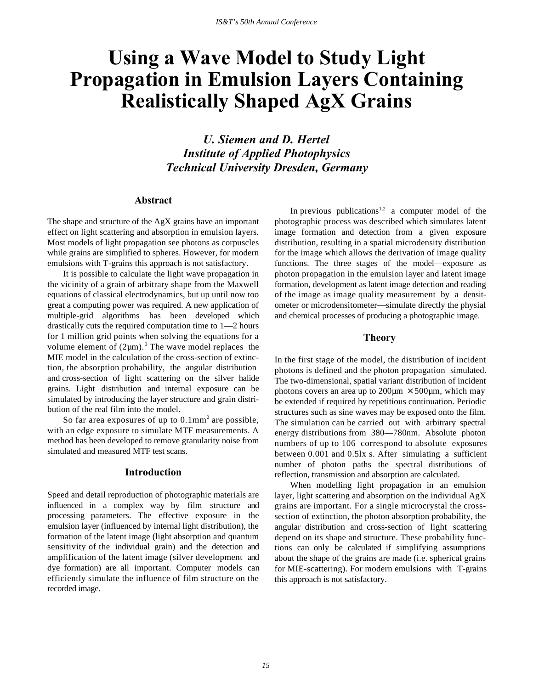# **Using a Wave Model to Study Light Propagation in Emulsion Layers Containing Realistically Shaped AgX Grains**

*U. Siemen and D. Hertel Institute of Applied Photophysics Technical University Dresden, Germany*

# **Abstract**

The shape and structure of the AgX grains have an important effect on light scattering and absorption in emulsion layers. Most models of light propagation see photons as corpuscles while grains are simplified to spheres. However, for modern emulsions with T-grains this approach is not satisfactory.

It is possible to calculate the light wave propagation in the vicinity of a grain of arbitrary shape from the Maxwell equations of classical electrodynamics, but up until now too great a computing power was required. A new application of multiple-grid algorithms has been developed which drastically cuts the required computation time to 1—2 hours for 1 million grid points when solving the equations for a volume element of  $(2\mu m)$ .<sup>3</sup> The wave model replaces the MIE model in the calculation of the cross-section of extinction, the absorption probability, the angular distribution and cross-section of light scattering on the silver halide grains. Light distribution and internal exposure can be simulated by introducing the layer structure and grain distribution of the real film into the model.

So far area exposures of up to  $0.1$ mm<sup>2</sup> are possible, with an edge exposure to simulate MTF measurements. A method has been developed to remove granularity noise from simulated and measured MTF test scans.

## **Introduction**

Speed and detail reproduction of photographic materials are influenced in a complex way by film structure and processing parameters. The effective exposure in the emulsion layer (influenced by internal light distribution), the formation of the latent image (light absorption and quantum sensitivity of the individual grain) and the detection and amplification of the latent image (silver development and dye formation) are all important. Computer models can efficiently simulate the influence of film structure on the recorded image.

In previous publications<sup>1,2</sup> a computer model of the photographic process was described which simulates latent image formation and detection from a given exposure distribution, resulting in a spatial microdensity distribution for the image which allows the derivation of image quality functions. The three stages of the model—exposure as photon propagation in the emulsion layer and latent image formation, development as latent image detection and reading of the image as image quality measurement by a densitometer or microdensitometer—simulate directly the physial and chemical processes of producing a photographic image.

## **Theory**

In the first stage of the model, the distribution of incident photons is defined and the photon propagation simulated. The two-dimensional, spatial variant distribution of incident photons covers an area up to  $200 \mu m \times 500 \mu m$ , which may be extended if required by repetitious continuation. Periodic structures such as sine waves may be exposed onto the film. The simulation can be carried out with arbitrary spectral energy distributions from 380—780nm. Absolute photon numbers of up to 106 correspond to absolute exposures between 0.001 and 0.5lx s. After simulating a sufficient number of photon paths the spectral distributions of reflection, transmission and absorption are calculated.

When modelling light propagation in an emulsion layer, light scattering and absorption on the individual AgX grains are important. For a single microcrystal the crosssection of extinction, the photon absorption probability, the angular distribution and cross-section of light scattering depend on its shape and structure. These probability functions can only be calculated if simplifying assumptions about the shape of the grains are made (i.e. spherical grains for MIE-scattering). For modern emulsions with T-grains this approach is not satisfactory.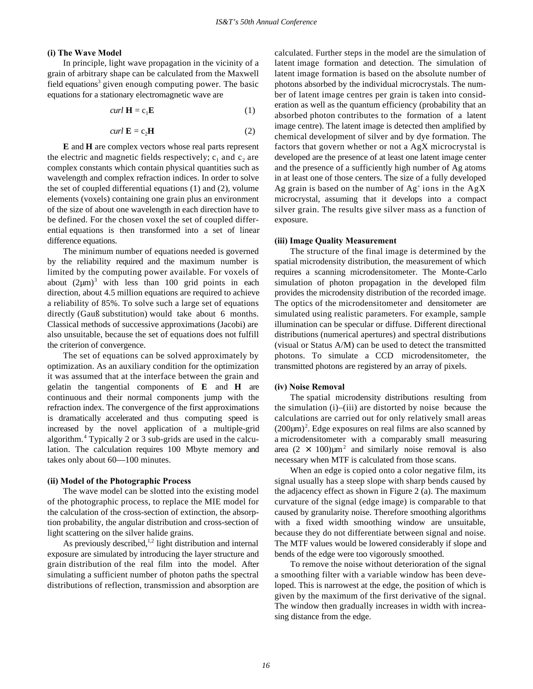## **(i) The Wave Model**

In principle, light wave propagation in the vicinity of a grain of arbitrary shape can be calculated from the Maxwell field equations<sup>3</sup> given enough computing power. The basic equations for a stationary electromagnetic wave are

$$
curl \mathbf{H} = \mathbf{c}_1 \mathbf{E} \tag{1}
$$

$$
curl \mathbf{E} = c_2 \mathbf{H} \tag{2}
$$

**E** and **H** are complex vectors whose real parts represent the electric and magnetic fields respectively;  $c_1$  and  $c_2$  are complex constants which contain physical quantities such as wavelength and complex refraction indices. In order to solve the set of coupled differential equations (1) and (2), volume elements (voxels) containing one grain plus an environment of the size of about one wavelength in each direction have to be defined. For the chosen voxel the set of coupled differential equations is then transformed into a set of linear difference equations.

The minimum number of equations needed is governed by the reliability required and the maximum number is limited by the computing power available. For voxels of about  $(2\mu m)^3$  with less than 100 grid points in each direction, about 4.5 million equations are required to achieve a reliability of 85%. To solve such a large set of equations directly (Gauß substitution) would take about 6 months. Classical methods of successive approximations (Jacobi) are also unsuitable, because the set of equations does not fulfill the criterion of convergence.

The set of equations can be solved approximately by optimization. As an auxiliary condition for the optimization it was assumed that at the interface between the grain and gelatin the tangential components of **E** and **H** are continuous and their normal components jump with the refraction index. The convergence of the first approximations is dramatically accelerated and thus computing speed is increased by the novel application of a multiple-grid algorithm.<sup>4</sup> Typically 2 or 3 sub-grids are used in the calculation. The calculation requires 100 Mbyte memory and takes only about 60—100 minutes.

### **(ii) Model of the Photographic Process**

The wave model can be slotted into the existing model of the photographic process, to replace the MIE model for the calculation of the cross-section of extinction, the absorption probability, the angular distribution and cross-section of light scattering on the silver halide grains.

As previously described, $1,2$  light distribution and internal exposure are simulated by introducing the layer structure and grain distribution of the real film into the model. After simulating a sufficient number of photon paths the spectral distributions of reflection, transmission and absorption are

calculated. Further steps in the model are the simulation of latent image formation and detection. The simulation of latent image formation is based on the absolute number of photons absorbed by the individual microcrystals. The number of latent image centres per grain is taken into consideration as well as the quantum efficiency (probability that an absorbed photon contributes to the formation of a latent image centre). The latent image is detected then amplified by chemical development of silver and by dye formation. The factors that govern whether or not a AgX microcrystal is developed are the presence of at least one latent image center and the presence of a sufficiently high number of Ag atoms in at least one of those centers. The size of a fully developed Ag grain is based on the number of  $Ag<sup>+</sup>$  ions in the AgX microcrystal, assuming that it develops into a compact silver grain. The results give silver mass as a function of exposure.

#### **(iii) Image Quality Measurement**

The structure of the final image is determined by the spatial microdensity distribution, the measurement of which requires a scanning microdensitometer. The Monte-Carlo simulation of photon propagation in the developed film provides the microdensity distribution of the recorded image. The optics of the microdensitometer and densitometer are simulated using realistic parameters. For example, sample illumination can be specular or diffuse. Different directional distributions (numerical apertures) and spectral distributions (visual or Status A/M) can be used to detect the transmitted photons. To simulate a CCD microdensitometer, the transmitted photons are registered by an array of pixels.

## **(iv) Noise Removal**

The spatial microdensity distributions resulting from the simulation (i)–(iii) are distorted by noise because the calculations are carried out for only relatively small areas  $(200 \mu m)^2$ . Edge exposures on real films are also scanned by a microdensitometer with a comparably small measuring area  $(2 \times 100) \mu m^2$  and similarly noise removal is also necessary when MTF is calculated from those scans.

When an edge is copied onto a color negative film, its signal usually has a steep slope with sharp bends caused by the adjacency effect as shown in Figure 2 (a). The maximum curvature of the signal (edge image) is comparable to that caused by granularity noise. Therefore smoothing algorithms with a fixed width smoothing window are unsuitable, because they do not differentiate between signal and noise. The MTF values would be lowered considerably if slope and bends of the edge were too vigorously smoothed.

To remove the noise without deterioration of the signal a smoothing filter with a variable window has been developed. This is narrowest at the edge, the position of which is given by the maximum of the first derivative of the signal. The window then gradually increases in width with increasing distance from the edge.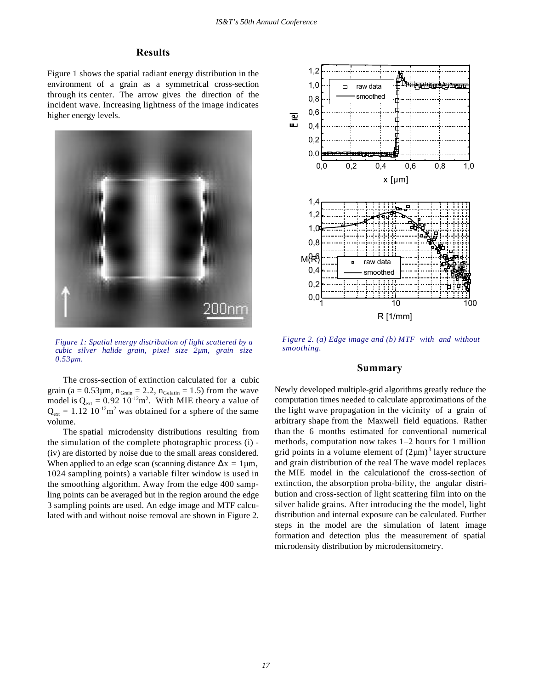# **Results**

Figure 1 shows the spatial radiant energy distribution in the environment of a grain as a symmetrical cross-section through its center. The arrow gives the direction of the incident wave. Increasing lightness of the image indicates higher energy levels.



*Figure 1: Spatial energy distribution of light scattered by a cubic silver halide grain, pixel size 2µm, grain size 0.53µm.*

The cross-section of extinction calculated for a cubic grain (a =  $0.53\mu$ m, n<sub>Grain</sub> = 2.2, n<sub>Gelatin</sub> = 1.5) from the wave model is  $Q_{\text{ext}} = 0.92 \, 10^{-12} \text{m}^2$ . With MIE theory a value of  $Q_{\text{ext}} = 1.12 \, 10^{-12} \text{m}^2$  was obtained for a sphere of the same volume.

The spatial microdensity distributions resulting from the simulation of the complete photographic process (i) - (iv) are distorted by noise due to the small areas considered. When applied to an edge scan (scanning distance  $\Delta x = 1 \mu m$ , 1024 sampling points) a variable filter window is used in the smoothing algorithm. Away from the edge 400 sampling points can be averaged but in the region around the edge 3 sampling points are used. An edge image and MTF calculated with and without noise removal are shown in Figure 2.



*Figure 2. (a) Edge image and (b) MTF with and without smoothing.*

# **Summary**

Newly developed multiple-grid algorithms greatly reduce the computation times needed to calculate approximations of the the light wave propagation in the vicinity of a grain of arbitrary shape from the Maxwell field equations. Rather than the 6 months estimated for conventional numerical methods, computation now takes 1–2 hours for 1 million grid points in a volume element of  $(2\mu m)^3$  layer structure and grain distribution of the real The wave model replaces the MIE model in the calculationof the cross-section of extinction, the absorption proba-bility, the angular distribution and cross-section of light scattering film into on the silver halide grains. After introducing the the model, light distribution and internal exposure can be calculated. Further steps in the model are the simulation of latent image formation and detection plus the measurement of spatial microdensity distribution by microdensitometry.